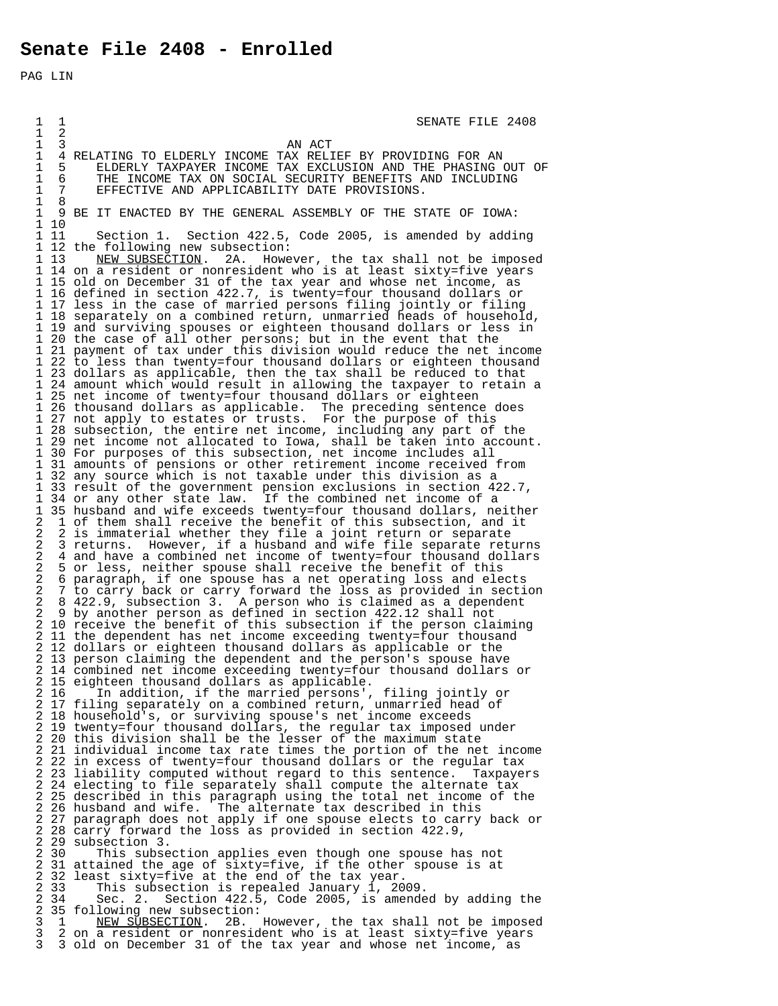PAG LIN

 $\begin{array}{cccc}\n 1 & 1 \\
 1 & 2\n \end{array}$  SENATE FILE 2408  $\begin{matrix} 1 & 2 \\ 1 & 3 \end{matrix}$ 1 3 AN ACT 1 4 RELATING TO ELDERLY INCOME TAX RELIEF BY PROVIDING FOR AN 1 5 ELDERLY TAXPAYER INCOME TAX EXCLUSION AND THE PHASING OUT OF 1 6 THE INCOME TAX ON SOCIAL SECURITY BENEFITS AND INCLUDING<br>1 7 EFFECTIVE AND APPLICABILITY DATE PROVISIONS. 1 7 EFFECTIVE AND APPLICABILITY DATE PROVISIONS.  $\frac{1}{1}$  1 9 BE IT ENACTED BY THE GENERAL ASSEMBLY OF THE STATE OF IOWA:  $\begin{array}{ccc} 1 & 10 \\ 1 & 11 \end{array}$  1 11 Section 1. Section 422.5, Code 2005, is amended by adding 1 12 the following new subsection:<br>1 13 NEW SUBSECTION. 2A. Howe NEW SUBSECTION. 2A. However, the tax shall not be imposed 1 14 on a resident or nonresident who is at least sixty=five years 1 15 old on December 31 of the tax year and whose net income, as 1 16 defined in section 422.7, is twenty=four thousand dollars or 1 17 less in the case of married persons filing jointly or filing 1 18 separately on a combined return, unmarried heads of household, 1 19 and surviving spouses or eighteen thousand dollars or less in 1 20 the case of all other persons; but in the event that the 1 21 payment of tax under this division would reduce the net income<br>1 22 to less than twenty=four thousand dollars or eighteen thousand 1 22 to less than twenty=four thousand dollars or eighteen thousand 1 23 dollars as applicable, then the tax shall be reduced to that 1 24 amount which would result in allowing the taxpayer to retain a<br>1 25 net income of twenty=four thousand dollars or eighteen 1 25 net income of twenty=four thousand dollars or eighteen<br>1 26 thousand dollars as applicable. The preceding sentence 1 26 thousand dollars as applicable. The preceding sentence does 1 27 not apply to estates or trusts. For the purpose of this 1 28 subsection, the entire net income, including any part of the 1 29 net income not allocated to Iowa, shall be taken into account. 1 30 For purposes of this subsection, net income includes all 1 31 amounts of pensions or other retirement income received from<br>1 32 any source which is not taxable under this division as a 1 32 any source which is not taxable under this division as a 1 33 result of the government pension exclusions in section 422.7, 1 34 or any other state law. If the combined net income of a 1 35 husband and wife exceeds twenty=four thousand dollars, neither 2 1 of them shall receive the benefit of this subsection, and it 2 2 is immaterial whether they file a joint return or separate<br>2 3 returns. However, if a husband and wife file separate retu 2 3 returns. However, if a husband and wife file separate returns 2 4 and have a combined net income of twenty=four thousand dollars 2 5 or less, neither spouse shall receive the benefit of this 2 6 paragraph, if one spouse has a net operating loss and elects<br>2 7 to carry back or carry forward the loss as provided in secti 2 7 to carry back or carry forward the loss as provided in section 2 8 422.9, subsection 3. A person who is claimed as a dependent 2 9 by another person as defined in section 422.12 shall not<br>2 10 receive the benefit of this subsection if the person cla 2 10 receive the benefit of this subsection if the person claiming<br>2 11 the dependent has net income exceeding twenty=four thousand 11 the dependent has net income exceeding twenty= $\tilde{f}$ our thousand 2 12 dollars or eighteen thousand dollars as applicable or the 2 13 person claiming the dependent and the person's spouse have<br>2 14 combined net income exceeding twenty=four thousand dollars 2 14 combined net income exceeding twenty=four thousand dollars or 2 15 eighteen thousand dollars as applicable. 2 16 <sub>11</sub> In addition, if the married persons', filing jointly or 2 17 filing separately on a combined return, unmarried head of 2 18 household's, or surviving spouse's net income exceeds 2 19 twenty=four thousand dollars, the regular tax imposed under 2 20 this division shall be the lesser of the maximum state 2 21 individual income tax rate times the portion of the net income 2 22 in excess of twenty=four thousand dollars or the regular tax 2 23 liability computed without regard to this sentence. Taxpayers<br>2 24 electing to file separately shall compute the alternate tax 2 24 electing to file separately shall compute the alternate tax 2 25 described in this paragraph using the total net income of the 2 26 husband and wife. The alternate tax described in this<br>2 27 paragraph does not apply if one spouse elects to carry 2 27 paragraph does not apply if one spouse elects to carry back or<br>2 28 carry forward the loss as provided in section 422.9, 2 28 carry forward the loss as provided in section 422.9, 2 29 subsection 3.<br>2 30 This subse 2 30 This subsection applies even though one spouse has not<br>2 31 attained the age of sixty=five, if the other spouse is at<br>2 32 least sixty=five at the end of the tax year. 2 31 attained the age of sixty=five, if the other spouse is at 2 32 least sixty=five at the end of the tax year. 2 33 This subsection is repealed January 1, 2009.<br>2 34 Sec. 2. Section 422.5, Code 2005, is amende Sec. 2. Section  $422.\overline{5}$ , Code 2005, is amended by adding the 2 35 following new subsection:<br>3 1 NEW SUBSECTION. 2B. 3 1 NEW SUBSECTION. 2B. However, the tax shall not be imposed<br>3 2 on a resident or nonresident who is at least sixty=five years 3 2 on a resident or nonresident who is at least sixty=five years<br>3 3 old on December 31 of the tax year and whose net income, as 3 3 old on December 31 of the tax year and whose net income, as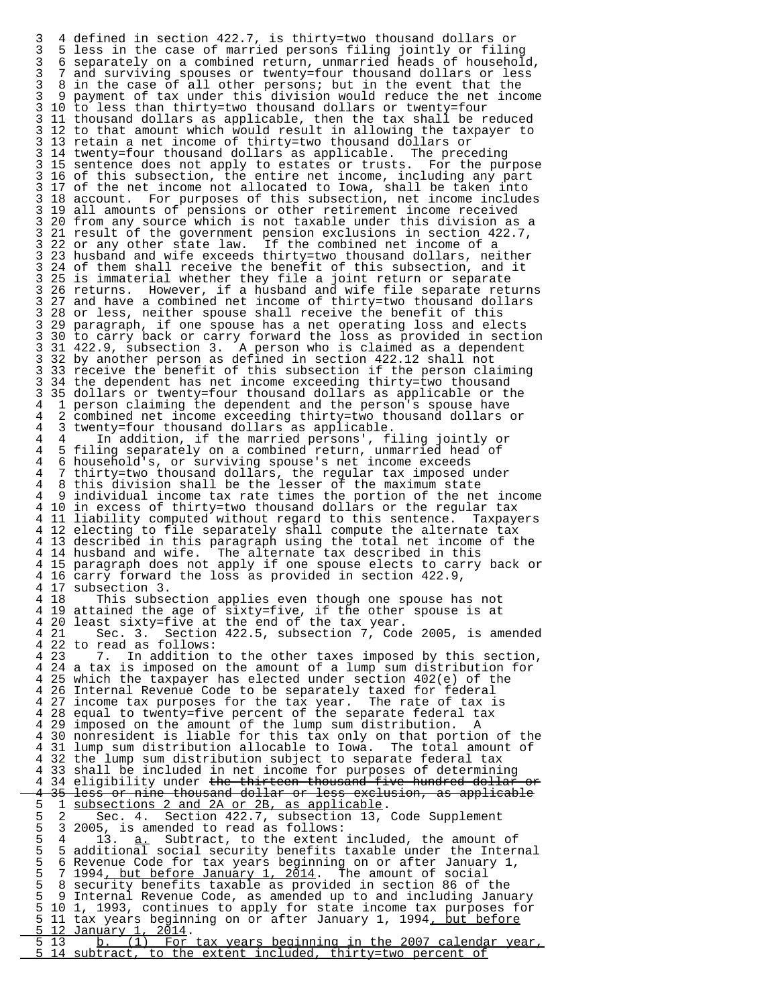3 4 defined in section 422.7, is thirty=two thousand dollars or 3 5 less in the case of married persons filing jointly or filing 3 6 separately on a combined return, unmarried heads of household, 3 7 and surviving spouses or twenty=four thousand dollars or less 3 8 in the case of all other persons; but in the event that the 3 9 payment of tax under this division would reduce the net income 3 10 to less than thirty=two thousand dollars or twenty=four<br>3 11 thousand dollars as applicable, then the tax shall be r 3 11 thousand dollars as applicable, then the tax shall be reduced 3 12 to that amount which would result in allowing the taxpayer to 3 13 retain a net income of thirty=two thousand dollars or 3 14 twenty=four thousand dollars as applicable. The preceding 3 15 sentence does not apply to estates or trusts. For the purpose 3 16 of this subsection, the entire net income, including any part<br>3 17 of the net income not allocated to Iowa, shall be taken into 3 17 of the net income not allocated to Iowa, shall be taken into 3 18 account. For purposes of this subsection, net income includes 3 19 all amounts of pensions or other retirement income received 3 20 from any source which is not taxable under this division as a<br>3 21 result of the government pension exclusions in section 422.7, 3 21 result of the government pension exclusions in section 422.7, 3 22 or any other state law. If the combined net income of a<br>3 23 husband and wife exceeds thirty=two thousand dollars, nei 3 23 husband and wife exceeds thirty=two thousand dollars, neither 3 24 of them shall receive the benefit of this subsection, and it 3 25 is immaterial whether they file a joint return or separate 3 26 returns. However, if a husband and wife file separate returns<br>3 27 and have a combined net income of thirty=two thousand dollars 3 27 and have a combined net income of thirty=two thousand dollars 3 28 or less, neither spouse shall receive the benefit of this 3 29 paragraph, if one spouse has a net operating loss and elects 3 30 to carry back or carry forward the loss as provided in section<br>3 31 422.9, subsection 3. A person who is claimed as a dependent 3 31 422.9, subsection 3. A person who is claimed as a dependent 3 32 by another person as defined in section 422.12 shall not 3 33 receive the benefit of this subsection if the person claiming<br>3 34 the dependent has net income exceeding thirty=two thousand 3 34 the dependent has net income exceeding thirty=two thousand 3 35 dollars or twenty=four thousand dollars as applicable or the 4 1 person claiming the dependent and the person's spouse have 4 2 combined net income exceeding thirty=two thousand dollars or 4 3 twenty=four thousand dollars as applicable. 4 4 In addition, if the married persons', filing jointly or 4 5 filing separately on a combined return, unmarried head of 4 6 household's, or surviving spouse's net income exceeds 4 7 thirty=two thousand dollars, the regular tax imposed under 4 8 this division shall be the lesser of the maximum state individual income tax rate times the portion of the net income 4 10 in excess of thirty=two thousand dollars or the regular tax 4 11 liability computed without regard to this sentence. Taxpayers 4 12 electing to file separately shall compute the alternate tax 4 13 described in this paragraph using the total net income of the 4 14 husband and wife. The alternate tax described in this 4 15 paragraph does not apply if one spouse elects to carry back or<br>4 16 carry forward the loss as provided in section 422.9, 4 16 carry forward the loss as provided in section 422.9, 4 17 subsection 3.<br>4 18 This subse This subsection applies even though one spouse has not 4 19 attained the age of sixty=five, if the other spouse is at 4 20 least sixty=five at the end of the tax year. 4 21 Sec. 3. Section 422.5, subsection 7, Code 2005, is amended 4 22 to read as follows:<br>4 23 7. In addition In addition to the other taxes imposed by this section, 4 24 a tax is imposed on the amount of a lump sum distribution for 4 25 which the taxpayer has elected under section 402(e) of the 4 26 Internal Revenue Code to be separately taxed for federal 4 27 income tax purposes for the tax year. The rate of tax is 4 28 equal to twenty=five percent of the separate federal tax<br>4 29 imposed on the amount of the lump sum distribution. A 4 29 imposed on the amount of the lump sum distribution. A 4 30 nonresident is liable for this tax only on that portion of the 4 31 lump sum distribution allocable to Iowa. The total amount of 4 32 the lump sum distribution subject to separate federal tax 4 32 the lump sum distribution subject to separate federal tax 4 33 shall be included in net income for purposes of determining<br>4 34 eligibility under the thirteen thousand five hundred dollar 4 34 eligibility under the thirteen thousand five hundred dollar or<br>4 35 less or nine thousand dollar or less exclusion, as applicable 4 35 less or nine thousand dollar or less exclusion, as applicable 5 1 subsections 2 and 2A or 2B, as applicable. 5 1 subsections 2 and 2A or 2B, as applicable.<br>5 2 Sec. 4. Section 422.7, subsection 13, Code Supplement<br>5 3 2005, is amended to read as follows: 5 3 2005, is amended to read as follows:<br>5 4 13. a. Subtract, to the extent 5 4 13. <u>a.</u> Subtract, to the extent included, the amount of<br>5 5 additional social security benefits taxable under the Interi 5 5 additional social security benefits taxable under the Internal<br>5 6 Revenue Code for tax vears beginning on or after January 1, 5 6 Revenue Code for tax years beginning on or after January 1,<br>5 7 1994<u>, but before January 1, 2014</u>. The amount of social 5 7 1994<u>, but before January 1, 2014</u>. The amount of social<br>5 8 security benefits taxable as provided in section 86 of 5 8 security benefits taxable as provided in section 86 of the 5 9 Internal Revenue Code, as amended up to and including January 5 10 1, 1993, continues to apply for state income tax purposes for 5 11 tax years beginning on or after January 1, 1994<u>, but before</u><br>5 12 January 1, 2014.  $\frac{5}{5}$  12 January 1, 2014.<br>5 13 b. (1) For tax years beginning in the 2007 calendar year,<br>5 14 subtract, to the extent included, thirty=two percent of subtract, to the extent included, thirty=two percent of